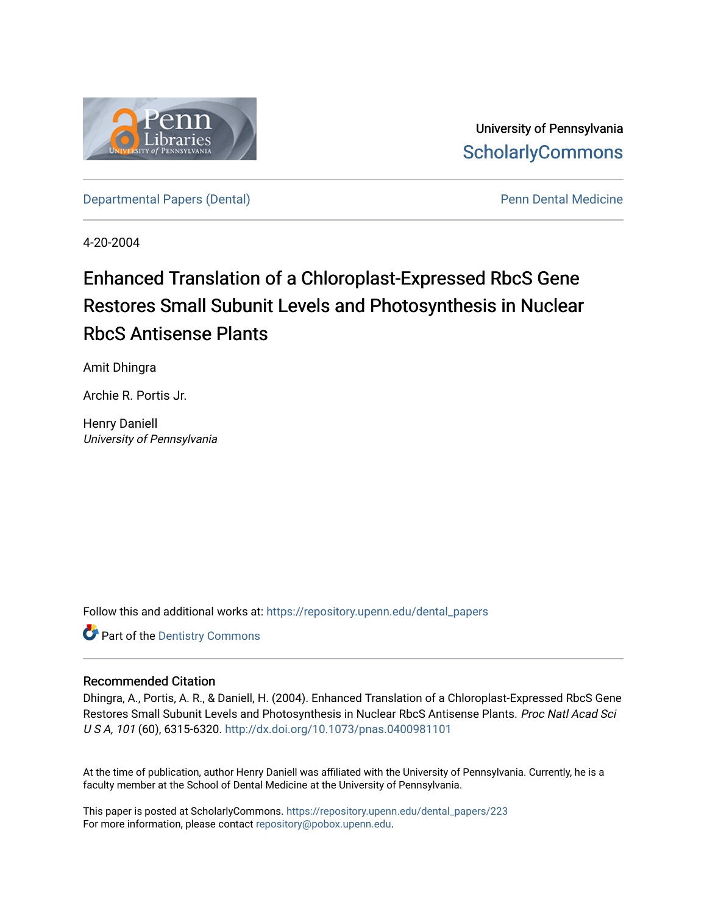

University of Pennsylvania **ScholarlyCommons** 

[Departmental Papers \(Dental\)](https://repository.upenn.edu/dental_papers) and Europe and Penn Dental Medicine

4-20-2004

## Enhanced Translation of a Chloroplast-Expressed RbcS Gene Restores Small Subunit Levels and Photosynthesis in Nuclear RbcS Antisense Plants

Amit Dhingra

Archie R. Portis Jr.

Henry Daniell University of Pennsylvania

Follow this and additional works at: [https://repository.upenn.edu/dental\\_papers](https://repository.upenn.edu/dental_papers?utm_source=repository.upenn.edu%2Fdental_papers%2F223&utm_medium=PDF&utm_campaign=PDFCoverPages)

**Part of the Dentistry Commons** 

## Recommended Citation

Dhingra, A., Portis, A. R., & Daniell, H. (2004). Enhanced Translation of a Chloroplast-Expressed RbcS Gene Restores Small Subunit Levels and Photosynthesis in Nuclear RbcS Antisense Plants. Proc Natl Acad Sci U S A, 101 (60), 6315-6320. <http://dx.doi.org/10.1073/pnas.0400981101>

At the time of publication, author Henry Daniell was affiliated with the University of Pennsylvania. Currently, he is a faculty member at the School of Dental Medicine at the University of Pennsylvania.

This paper is posted at ScholarlyCommons. [https://repository.upenn.edu/dental\\_papers/223](https://repository.upenn.edu/dental_papers/223)  For more information, please contact [repository@pobox.upenn.edu.](mailto:repository@pobox.upenn.edu)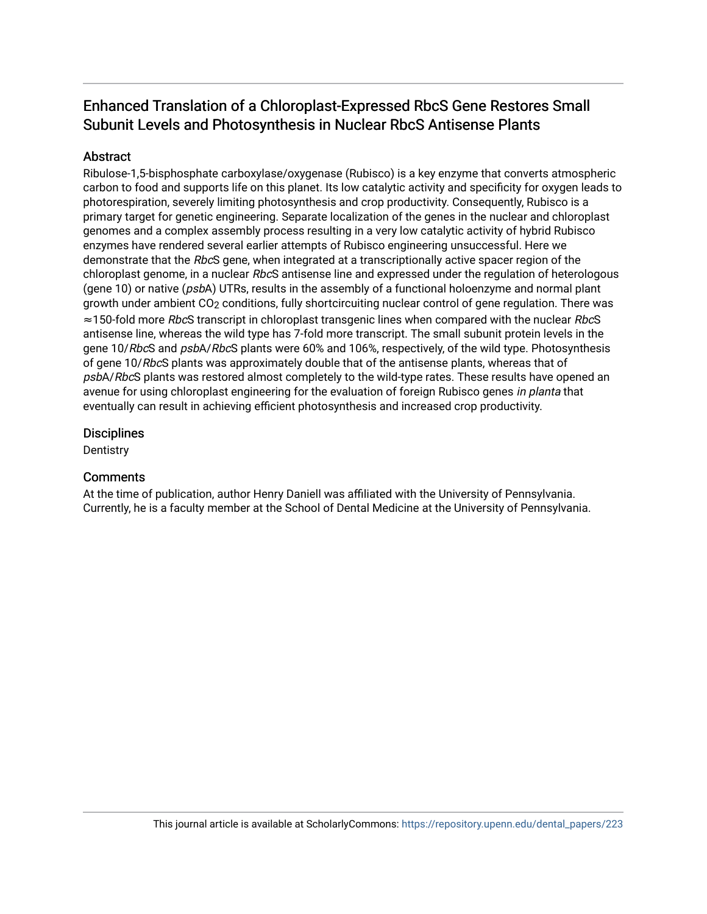## Enhanced Translation of a Chloroplast-Expressed RbcS Gene Restores Small Subunit Levels and Photosynthesis in Nuclear RbcS Antisense Plants

## **Abstract**

Ribulose-1,5-bisphosphate carboxylase/oxygenase (Rubisco) is a key enzyme that converts atmospheric carbon to food and supports life on this planet. Its low catalytic activity and specificity for oxygen leads to photorespiration, severely limiting photosynthesis and crop productivity. Consequently, Rubisco is a primary target for genetic engineering. Separate localization of the genes in the nuclear and chloroplast genomes and a complex assembly process resulting in a very low catalytic activity of hybrid Rubisco enzymes have rendered several earlier attempts of Rubisco engineering unsuccessful. Here we demonstrate that the RbcS gene, when integrated at a transcriptionally active spacer region of the chloroplast genome, in a nuclear RbcS antisense line and expressed under the regulation of heterologous (gene 10) or native (psbA) UTRs, results in the assembly of a functional holoenzyme and normal plant growth under ambient CO2 conditions, fully shortcircuiting nuclear control of gene regulation. There was ≈150-fold more RbcS transcript in chloroplast transgenic lines when compared with the nuclear RbcS antisense line, whereas the wild type has 7-fold more transcript. The small subunit protein levels in the gene 10/RbcS and psbA/RbcS plants were 60% and 106%, respectively, of the wild type. Photosynthesis of gene 10/RbcS plants was approximately double that of the antisense plants, whereas that of psbA/RbcS plants was restored almost completely to the wild-type rates. These results have opened an avenue for using chloroplast engineering for the evaluation of foreign Rubisco genes in planta that eventually can result in achieving efficient photosynthesis and increased crop productivity.

### **Disciplines**

**Dentistry** 

## **Comments**

At the time of publication, author Henry Daniell was affiliated with the University of Pennsylvania. Currently, he is a faculty member at the School of Dental Medicine at the University of Pennsylvania.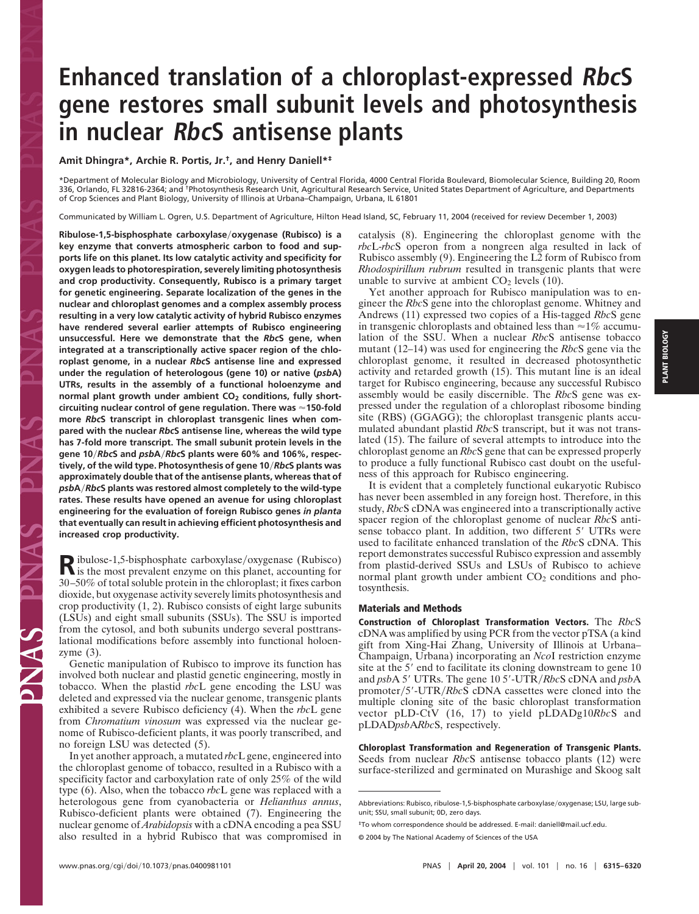# **Enhanced translation of a chloroplast-expressed RbcS gene restores small subunit levels and photosynthesis in nuclear RbcS antisense plants**

### **Amit Dhingra\*, Archie R. Portis, Jr.†, and Henry Daniell\*‡**

\*Department of Molecular Biology and Microbiology, University of Central Florida, 4000 Central Florida Boulevard, Biomolecular Science, Building 20, Room 336, Orlando, FL 32816-2364; and <sup>†</sup>Photosynthesis Research Unit, Agricultural Research Service, United States Department of Agriculture, and Departments of Crop Sciences and Plant Biology, University of Illinois at Urbana–Champaign, Urbana, IL 61801

Communicated by William L. Ogren, U.S. Department of Agriculture, Hilton Head Island, SC, February 11, 2004 (received for review December 1, 2003)

**Ribulose-1,5-bisphosphate carboxylaseoxygenase (Rubisco) is a key enzyme that converts atmospheric carbon to food and supports life on this planet. Its low catalytic activity and specificity for oxygen leads to photorespiration, severely limiting photosynthesis and crop productivity. Consequently, Rubisco is a primary target for genetic engineering. Separate localization of the genes in the nuclear and chloroplast genomes and a complex assembly process resulting in a very low catalytic activity of hybrid Rubisco enzymes have rendered several earlier attempts of Rubisco engineering unsuccessful. Here we demonstrate that the** *Rbc***S gene, when integrated at a transcriptionally active spacer region of the chloroplast genome, in a nuclear** *Rbc***S antisense line and expressed under the regulation of heterologous (gene 10) or native (***psb***A) UTRs, results in the assembly of a functional holoenzyme and** normal plant growth under ambient CO<sub>2</sub> conditions, fully short**circuiting nuclear control of gene regulation. There was 150-fold more** *Rbc***S transcript in chloroplast transgenic lines when compared with the nuclear** *Rbc***S antisense line, whereas the wild type has 7-fold more transcript. The small subunit protein levels in the gene 10***Rbc***S and** *psb***A***Rbc***S plants were 60% and 106%, respectively, of the wild type. Photosynthesis of gene 10***Rbc***S plants was approximately double that of the antisense plants, whereas that of** *psb***A***Rbc***S plants was restored almost completely to the wild-type rates. These results have opened an avenue for using chloroplast engineering for the evaluation of foreign Rubisco genes** *in planta* **that eventually can result in achieving efficient photosynthesis and increased crop productivity.**

Ribulose-1,5-bisphosphate carboxylase/oxygenase (Rubisco)<br>is the most prevalent enzyme on this planet, accounting for 30–50% of total soluble protein in the chloroplast; it fixes carbon dioxide, but oxygenase activity severely limits photosynthesis and crop productivity (1, 2). Rubisco consists of eight large subunits (LSUs) and eight small subunits (SSUs). The SSU is imported from the cytosol, and both subunits undergo several posttranslational modifications before assembly into functional holoenzyme (3).

Genetic manipulation of Rubisco to improve its function has involved both nuclear and plastid genetic engineering, mostly in tobacco. When the plastid *rbc*L gene encoding the LSU was deleted and expressed via the nuclear genome, transgenic plants exhibited a severe Rubisco deficiency (4). When the *rbc*L gene from *Chromatium vinosum* was expressed via the nuclear genome of Rubisco-deficient plants, it was poorly transcribed, and no foreign LSU was detected (5).

In yet another approach, a mutated *rbc*L gene, engineered into the chloroplast genome of tobacco, resulted in a Rubisco with a specificity factor and carboxylation rate of only 25% of the wild type (6). Also, when the tobacco *rbc*L gene was replaced with a heterologous gene from cyanobacteria or *Helianthus annus*, Rubisco-deficient plants were obtained (7). Engineering the nuclear genome of *Arabidopsis* with a cDNA encoding a pea SSU also resulted in a hybrid Rubisco that was compromised in catalysis (8). Engineering the chloroplast genome with the *rbc*L-*rbc*S operon from a nongreen alga resulted in lack of Rubisco assembly (9). Engineering the L2 form of Rubisco from *Rhodospirillum rubrum* resulted in transgenic plants that were unable to survive at ambient  $CO<sub>2</sub>$  levels (10).

Yet another approach for Rubisco manipulation was to engineer the *Rbc*S gene into the chloroplast genome. Whitney and Andrews (11) expressed two copies of a His-tagged *Rbc*S gene in transgenic chloroplasts and obtained less than  $\approx$ 1% accumulation of the SSU. When a nuclear *Rbc*S antisense tobacco mutant (12–14) was used for engineering the *Rbc*S gene via the chloroplast genome, it resulted in decreased photosynthetic activity and retarded growth (15). This mutant line is an ideal target for Rubisco engineering, because any successful Rubisco assembly would be easily discernible. The *Rbc*S gene was expressed under the regulation of a chloroplast ribosome binding site (RBS) (GGAGG); the chloroplast transgenic plants accumulated abundant plastid *Rbc*S transcript, but it was not translated (15). The failure of several attempts to introduce into the chloroplast genome an *Rbc*S gene that can be expressed properly to produce a fully functional Rubisco cast doubt on the usefulness of this approach for Rubisco engineering.

It is evident that a completely functional eukaryotic Rubisco has never been assembled in any foreign host. Therefore, in this study, *Rbc*S cDNA was engineered into a transcriptionally active spacer region of the chloroplast genome of nuclear *Rbc*S antisense tobacco plant. In addition, two different 5' UTRs were used to facilitate enhanced translation of the *Rbc*S cDNA. This report demonstrates successful Rubisco expression and assembly from plastid-derived SSUs and LSUs of Rubisco to achieve normal plant growth under ambient  $CO<sub>2</sub>$  conditions and photosynthesis.

#### **Materials and Methods**

**Construction of Chloroplast Transformation Vectors.** The *Rbc*S cDNA was amplified by using PCR from the vector pTSA (a kind gift from Xing-Hai Zhang, University of Illinois at Urbana– Champaign, Urbana) incorporating an *Nco*I restriction enzyme site at the 5' end to facilitate its cloning downstream to gene 10 and *psbA* 5' UTRs. The gene 10 5'-UTR/RbcS cDNA and *psbA* promoter/5'-UTR/RbcS cDNA cassettes were cloned into the multiple cloning site of the basic chloroplast transformation vector pLD-CtV (16, 17) to yield pLDADg10*Rbc*S and pLDAD*psb*A*Rbc*S, respectively.

**Chloroplast Transformation and Regeneration of Transgenic Plants.** Seeds from nuclear *Rbc*S antisense tobacco plants (12) were surface-sterilized and germinated on Murashige and Skoog salt

Abbreviations: Rubisco, ribulose-1,5-bisphosphate carboxylase/oxygenase; LSU, large subunit; SSU, small subunit; 0D, zero days.

<sup>‡</sup>To whom correspondence should be addressed. E-mail: daniell@mail.ucf.edu.

<sup>© 2004</sup> by The National Academy of Sciences of the USA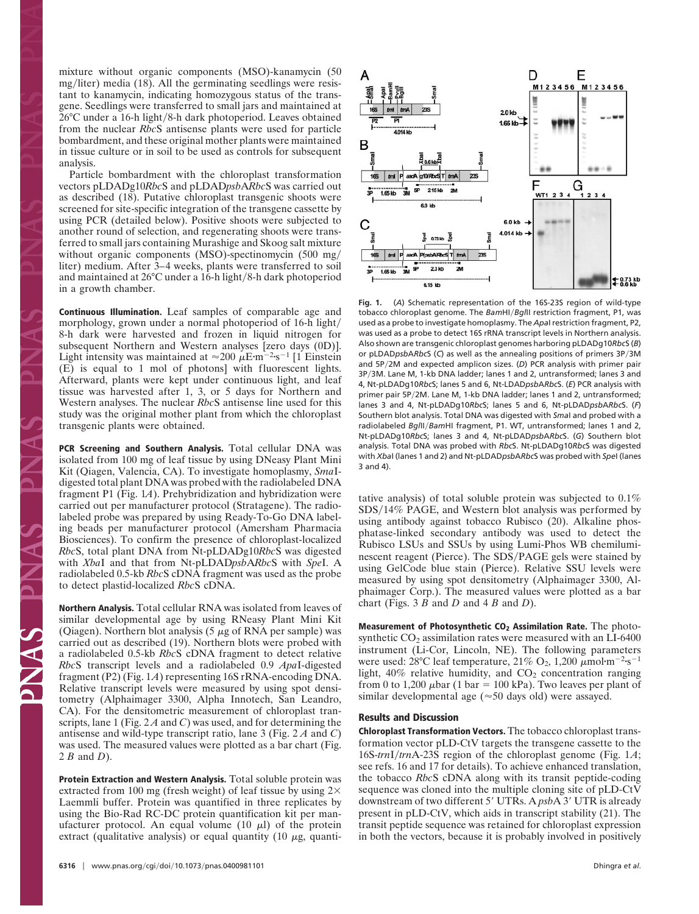mixture without organic components (MSO)-kanamycin (50  $mg/liter)$  media (18). All the germinating seedlings were resistant to kanamycin, indicating homozygous status of the transgene. Seedlings were transferred to small jars and maintained at  $26^{\circ}$ C under a 16-h light/8-h dark photoperiod. Leaves obtained from the nuclear *Rbc*S antisense plants were used for particle bombardment, and these original mother plants were maintained in tissue culture or in soil to be used as controls for subsequent analysis.

Particle bombardment with the chloroplast transformation vectors pLDADg10*Rbc*S and pLDAD*psb*A*Rbc*S was carried out as described (18). Putative chloroplast transgenic shoots were screened for site-specific integration of the transgene cassette by using PCR (detailed below). Positive shoots were subjected to another round of selection, and regenerating shoots were transferred to small jars containing Murashige and Skoog salt mixture without organic components (MSO)-spectinomycin (500 mg/ liter) medium. After 3–4 weeks, plants were transferred to soil and maintained at  $26^{\circ}$ C under a 16-h light/8-h dark photoperiod in a growth chamber.

**Continuous Illumination.** Leaf samples of comparable age and morphology, grown under a normal photoperiod of 16-h light 8-h dark were harvested and frozen in liquid nitrogen for subsequent Northern and Western analyses [zero days (0D)]. Light intensity was maintained at  $\approx 200 \ \mu \text{E} \cdot \text{m}^{-2} \cdot \text{s}^{-1}$  [1 Einstein (E) is equal to 1 mol of photons] with fluorescent lights. Afterward, plants were kept under continuous light, and leaf tissue was harvested after 1, 3, or 5 days for Northern and Western analyses. The nuclear *Rbc*S antisense line used for this study was the original mother plant from which the chloroplast transgenic plants were obtained.

**PCR Screening and Southern Analysis.** Total cellular DNA was isolated from 100 mg of leaf tissue by using DNeasy Plant Mini Kit (Qiagen, Valencia, CA). To investigate homoplasmy, *Sma*Idigested total plant DNA was probed with the radiolabeled DNA fragment P1 (Fig. 1*A*). Prehybridization and hybridization were carried out per manufacturer protocol (Stratagene). The radiolabeled probe was prepared by using Ready-To-Go DNA labeling beads per manufacturer protocol (Amersham Pharmacia Biosciences). To confirm the presence of chloroplast-localized *Rbc*S, total plant DNA from Nt-pLDADg10*Rbc*S was digested with *Xba*I and that from Nt-pLDAD*psb*A*Rbc*S with *Spe*I. A radiolabeled 0.5-kb *Rbc*S cDNA fragment was used as the probe to detect plastid-localized *Rbc*S cDNA.

**Northern Analysis.** Total cellular RNA was isolated from leaves of similar developmental age by using RNeasy Plant Mini Kit (Qiagen). Northern blot analysis (5  $\mu$ g of RNA per sample) was carried out as described (19). Northern blots were probed with a radiolabeled 0.5-kb *Rbc*S cDNA fragment to detect relative *Rbc*S transcript levels and a radiolabeled 0.9 *Apa*I-digested fragment (P2) (Fig. 1*A*) representing 16S rRNA-encoding DNA. Relative transcript levels were measured by using spot densitometry (Alphaimager 3300, Alpha Innotech, San Leandro, CA). For the densitometric measurement of chloroplast transcripts, lane 1 (Fig. 2 *A* and *C*) was used, and for determining the antisense and wild-type transcript ratio, lane 3 (Fig. 2 *A* and *C*) was used. The measured values were plotted as a bar chart (Fig. 2 *B* and *D*).

**Protein Extraction and Western Analysis.** Total soluble protein was extracted from 100 mg (fresh weight) of leaf tissue by using  $2\times$ Laemmli buffer. Protein was quantified in three replicates by using the Bio-Rad RC-DC protein quantification kit per manufacturer protocol. An equal volume  $(10 \mu l)$  of the protein extract (qualitative analysis) or equal quantity (10  $\mu$ g, quanti-



**Fig. 1.** (*A*) Schematic representation of the 16S-23S region of wild-type tobacco chloroplast genome. The *BamHI/BglII* restriction fragment, P1, was used as a probe to investigate homoplasmy. The *Apa*I restriction fragment, P2, was used as a probe to detect 16S rRNA transcript levels in Northern analysis. Also shown are transgenic chloroplast genomes harboring pLDADg10*Rbc*S (*B*) or pLDADpsbARbcS (C) as well as the annealing positions of primers 3P/3M and 5P/2M and expected amplicon sizes. (D) PCR analysis with primer pair 3P3M. Lane M, 1-kb DNA ladder; lanes 1 and 2, untransformed; lanes 3 and 4, Nt-pLDADg10*Rbc*S; lanes 5 and 6, Nt-LDAD*psb*A*Rbc*S. (*E*) PCR analysis with primer pair 5P/2M. Lane M, 1-kb DNA ladder; lanes 1 and 2, untransformed; lanes 3 and 4, Nt-pLDADg10*Rbc*S; lanes 5 and 6, Nt-pLDAD*psb*A*Rbc*S. (*F*) Southern blot analysis. Total DNA was digested with *Sma*I and probed with a radiolabeled *Bgl*II/BamHI fragment, P1. WT, untransformed; lanes 1 and 2, Nt-pLDADg10*Rbc*S; lanes 3 and 4, Nt-pLDAD*psb*A*Rbc*S. (*G*) Southern blot analysis. Total DNA was probed with *Rbc*S. Nt-pLDADg10*Rbc*S was digested with *Xba*I (lanes 1 and 2) and Nt-pLDAD*psb*A*Rbc*S was probed with *Spe*I (lanes 3 and 4).

tative analysis) of total soluble protein was subjected to 0.1% SDS/14% PAGE, and Western blot analysis was performed by using antibody against tobacco Rubisco (20). Alkaline phosphatase-linked secondary antibody was used to detect the Rubisco LSUs and SSUs by using Lumi-Phos WB chemiluminescent reagent (Pierce). The SDS/PAGE gels were stained by using GelCode blue stain (Pierce). Relative SSU levels were measured by using spot densitometry (Alphaimager 3300, Alphaimager Corp.). The measured values were plotted as a bar chart (Figs. 3 *B* and *D* and 4 *B* and *D*).

**Measurement of Photosynthetic CO2 Assimilation Rate.** The photosynthetic  $CO<sub>2</sub>$  assimilation rates were measured with an LI-6400 instrument (Li-Cor, Lincoln, NE). The following parameters were used: 28°C leaf temperature, 21% O<sub>2</sub>, 1,200  $\mu$ mol·m<sup>-2</sup>·s<sup>-1</sup> light,  $40\%$  relative humidity, and  $CO<sub>2</sub>$  concentration ranging from 0 to 1,200  $\mu$ bar (1 bar = 100 kPa). Two leaves per plant of similar developmental age ( $\approx$  50 days old) were assayed.

#### **Results and Discussion**

**Chloroplast Transformation Vectors.** The tobacco chloroplast transformation vector pLD-CtV targets the transgene cassette to the 16S-*trn*I*trn*A-23S region of the chloroplast genome (Fig. 1*A*; see refs. 16 and 17 for details). To achieve enhanced translation, the tobacco *Rbc*S cDNA along with its transit peptide-coding sequence was cloned into the multiple cloning site of pLD-CtV downstream of two different 5' UTRs. A *psb*A 3' UTR is already present in pLD-CtV, which aids in transcript stability (21). The transit peptide sequence was retained for chloroplast expression in both the vectors, because it is probably involved in positively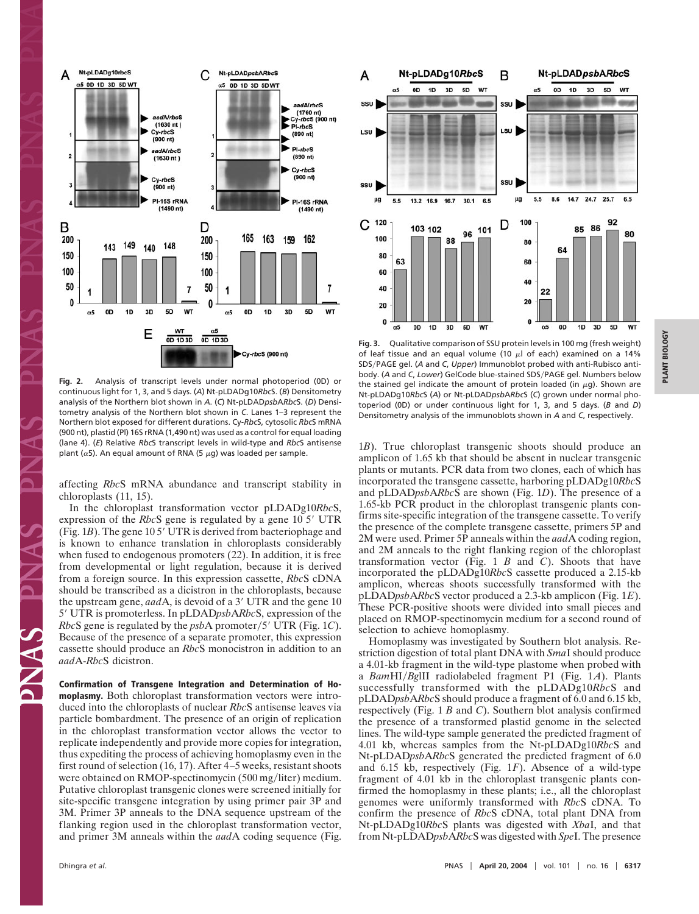

**Fig. 2.** Analysis of transcript levels under normal photoperiod (0D) or continuous light for 1, 3, and 5 days. (*A*) Nt-pLDADg10*Rbc*S. (*B*) Densitometry analysis of the Northern blot shown in *A*. (*C*) Nt-pLDAD*psb*A*Rbc*S. (*D*) Densitometry analysis of the Northern blot shown in *C*. Lanes 1–3 represent the Northern blot exposed for different durations. Cy-*Rbc*S, cytosolic *Rbc*S mRNA (900 nt), plastid (Pl) 16S rRNA (1,490 nt) was used as a control for equal loading (lane 4). (*E*) Relative *Rbc*S transcript levels in wild-type and *Rbc*S antisense plant ( $\alpha$ 5). An equal amount of RNA (5  $\mu$ g) was loaded per sample.

affecting *Rbc*S mRNA abundance and transcript stability in chloroplasts (11, 15).

In the chloroplast transformation vector pLDADg10*Rbc*S, expression of the *Rbc*S gene is regulated by a gene 10 5' UTR (Fig. 1*B*). The gene 105' UTR is derived from bacteriophage and is known to enhance translation in chloroplasts considerably when fused to endogenous promoters (22). In addition, it is free from developmental or light regulation, because it is derived from a foreign source. In this expression cassette, *Rbc*S cDNA should be transcribed as a dicistron in the chloroplasts, because the upstream gene, *aad* A, is devoid of a 3' UTR and the gene 10 5' UTR is promoterless. In pLDADpsbARbcS, expression of the *Rbc*S gene is regulated by the *psbA* promoter/5' UTR (Fig. 1*C*). Because of the presence of a separate promoter, this expression cassette should produce an *Rbc*S monocistron in addition to an *aad*A-*Rbc*S dicistron.

**Confirmation of Transgene Integration and Determination of Homoplasmy.** Both chloroplast transformation vectors were introduced into the chloroplasts of nuclear *Rbc*S antisense leaves via particle bombardment. The presence of an origin of replication in the chloroplast transformation vector allows the vector to replicate independently and provide more copies for integration, thus expediting the process of achieving homoplasmy even in the first round of selection (16, 17). After 4–5 weeks, resistant shoots were obtained on RMOP-spectinomycin (500 mg/liter) medium. Putative chloroplast transgenic clones were screened initially for site-specific transgene integration by using primer pair 3P and 3M. Primer 3P anneals to the DNA sequence upstream of the flanking region used in the chloroplast transformation vector, and primer 3M anneals within the *aad*A coding sequence (Fig.



**Fig. 3.** Qualitative comparison of SSU protein levels in 100 mg (fresh weight) of leaf tissue and an equal volume (10  $\mu$ l of each) examined on a 14% SDS/PAGE gel. (A and C, Upper) Immunoblot probed with anti-Rubisco antibody. (*A* and *C*, *Lower*) GelCode blue-stained SDSPAGE gel. Numbers below the stained gel indicate the amount of protein loaded (in  $\mu$ g). Shown are Nt-pLDADg10*Rbc*S (*A*) or Nt-pLDAD*psb*A*Rbc*S (*C*) grown under normal photoperiod (0D) or under continuous light for 1, 3, and 5 days. (*B* and *D*) Densitometry analysis of the immunoblots shown in *A* and *C*, respectively.

1*B*). True chloroplast transgenic shoots should produce an amplicon of 1.65 kb that should be absent in nuclear transgenic plants or mutants. PCR data from two clones, each of which has incorporated the transgene cassette, harboring pLDADg10*Rbc*S and pLDAD*psb*A*Rbc*S are shown (Fig. 1*D*). The presence of a 1.65-kb PCR product in the chloroplast transgenic plants confirms site-specific integration of the transgene cassette. To verify the presence of the complete transgene cassette, primers 5P and 2M were used. Primer 5P anneals within the *aad*A coding region, and 2M anneals to the right flanking region of the chloroplast transformation vector (Fig. 1 *B* and *C*). Shoots that have incorporated the pLDADg10*Rbc*S cassette produced a 2.15-kb amplicon, whereas shoots successfully transformed with the pLDAD*psb*A*Rbc*S vector produced a 2.3-kb amplicon (Fig. 1*E*). These PCR-positive shoots were divided into small pieces and placed on RMOP-spectinomycin medium for a second round of selection to achieve homoplasmy.

Homoplasmy was investigated by Southern blot analysis. Restriction digestion of total plant DNA with *Sma*I should produce a 4.01-kb fragment in the wild-type plastome when probed with a *Bam*HI*Bg*lII radiolabeled fragment P1 (Fig. 1*A*). Plants successfully transformed with the pLDADg10*Rbc*S and pLDAD*psb*A*Rbc*S should produce a fragment of 6.0 and 6.15 kb, respectively (Fig. 1 *B* and *C*). Southern blot analysis confirmed the presence of a transformed plastid genome in the selected lines. The wild-type sample generated the predicted fragment of 4.01 kb, whereas samples from the Nt-pLDADg10*Rbc*S and Nt-pLDAD*psb*A*Rbc*S generated the predicted fragment of 6.0 and 6.15 kb, respectively (Fig. 1*F*). Absence of a wild-type fragment of 4.01 kb in the chloroplast transgenic plants confirmed the homoplasmy in these plants; i.e., all the chloroplast genomes were uniformly transformed with *Rbc*S cDNA. To confirm the presence of *Rbc*S cDNA, total plant DNA from Nt-pLDADg10*Rbc*S plants was digested with *Xba*I, and that from Nt-pLDAD*psb*A*Rbc*S was digested with *Spe*I. The presence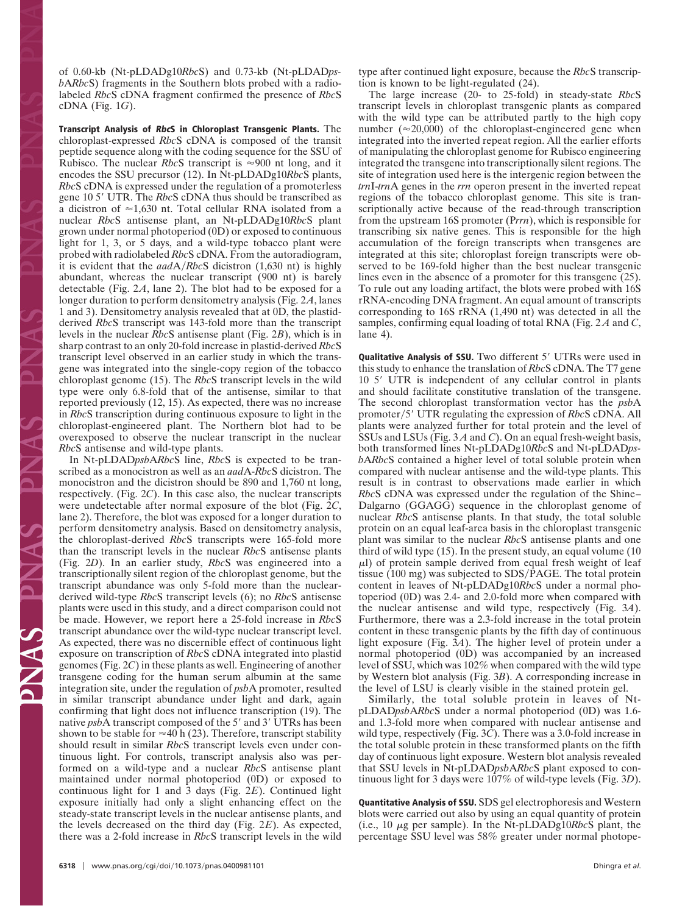of 0.60-kb (Nt-pLDADg10*Rbc*S) and 0.73-kb (Nt-pLDAD*psb*A*Rbc*S) fragments in the Southern blots probed with a radiolabeled *Rbc*S cDNA fragment confirmed the presence of *Rbc*S cDNA (Fig. 1*G*).

**Transcript Analysis of RbcS in Chloroplast Transgenic Plants.** The chloroplast-expressed *Rbc*S cDNA is composed of the transit peptide sequence along with the coding sequence for the SSU of Rubisco. The nuclear *Rbc*S transcript is  $\approx 900$  nt long, and it encodes the SSU precursor (12). In Nt-pLDADg10*Rbc*S plants, *Rbc*S cDNA is expressed under the regulation of a promoterless gene 10 5' UTR. The *Rbc*S cDNA thus should be transcribed as a dicistron of  $\approx$  1,630 nt. Total cellular RNA isolated from a nuclear *Rbc*S antisense plant, an Nt-pLDADg10*Rbc*S plant grown under normal photoperiod (0D) or exposed to continuous light for 1, 3, or 5 days, and a wild-type tobacco plant were probed with radiolabeled *Rbc*S cDNA. From the autoradiogram, it is evident that the *aad*A*Rbc*S dicistron (1,630 nt) is highly abundant, whereas the nuclear transcript (900 nt) is barely detectable (Fig. 2*A*, lane 2). The blot had to be exposed for a longer duration to perform densitometry analysis (Fig. 2*A*, lanes 1 and 3). Densitometry analysis revealed that at 0D, the plastidderived *Rbc*S transcript was 143-fold more than the transcript levels in the nuclear *Rbc*S antisense plant (Fig. 2*B*), which is in sharp contrast to an only 20-fold increase in plastid-derived *Rbc*S transcript level observed in an earlier study in which the transgene was integrated into the single-copy region of the tobacco chloroplast genome (15). The *Rbc*S transcript levels in the wild type were only 6.8-fold that of the antisense, similar to that reported previously (12, 15). As expected, there was no increase in *Rbc*S transcription during continuous exposure to light in the chloroplast-engineered plant. The Northern blot had to be overexposed to observe the nuclear transcript in the nuclear *Rbc*S antisense and wild-type plants.

In Nt-pLDAD*psb*A*Rbc*S line, *Rbc*S is expected to be transcribed as a monocistron as well as an *aad*A-*Rbc*S dicistron. The monocistron and the dicistron should be 890 and 1,760 nt long, respectively. (Fig. 2*C*). In this case also, the nuclear transcripts were undetectable after normal exposure of the blot (Fig. 2*C*, lane 2). Therefore, the blot was exposed for a longer duration to perform densitometry analysis. Based on densitometry analysis, the chloroplast-derived *Rbc*S transcripts were 165-fold more than the transcript levels in the nuclear *Rbc*S antisense plants (Fig. 2*D*). In an earlier study, *Rbc*S was engineered into a transcriptionally silent region of the chloroplast genome, but the transcript abundance was only 5-fold more than the nuclearderived wild-type *Rbc*S transcript levels (6); no *Rbc*S antisense plants were used in this study, and a direct comparison could not be made. However, we report here a 25-fold increase in *Rbc*S transcript abundance over the wild-type nuclear transcript level. As expected, there was no discernible effect of continuous light exposure on transcription of *Rbc*S cDNA integrated into plastid genomes (Fig. 2*C*) in these plants as well. Engineering of another transgene coding for the human serum albumin at the same integration site, under the regulation of *psb*A promoter, resulted in similar transcript abundance under light and dark, again confirming that light does not influence transcription (19). The native *psb*A transcript composed of the 5' and 3' UTRs has been shown to be stable for  $\approx 40$  h (23). Therefore, transcript stability should result in similar *Rbc*S transcript levels even under continuous light. For controls, transcript analysis also was performed on a wild-type and a nuclear *Rbc*S antisense plant maintained under normal photoperiod (0D) or exposed to continuous light for 1 and 3 days (Fig. 2*E*). Continued light exposure initially had only a slight enhancing effect on the steady-state transcript levels in the nuclear antisense plants, and the levels decreased on the third day (Fig. 2*E*). As expected, there was a 2-fold increase in *Rbc*S transcript levels in the wild

<sup>2</sup>NAS PN

type after continued light exposure, because the *Rbc*S transcription is known to be light-regulated (24).

The large increase (20- to 25-fold) in steady-state *Rbc*S transcript levels in chloroplast transgenic plants as compared with the wild type can be attributed partly to the high copy number ( $\approx$ 20,000) of the chloroplast-engineered gene when integrated into the inverted repeat region. All the earlier efforts of manipulating the chloroplast genome for Rubisco engineering integrated the transgene into transcriptionally silent regions. The site of integration used here is the intergenic region between the *trn*I-*trn*A genes in the *rrn* operon present in the inverted repeat regions of the tobacco chloroplast genome. This site is transcriptionally active because of the read-through transcription from the upstream 16S promoter (P*rrn*), which is responsible for transcribing six native genes. This is responsible for the high accumulation of the foreign transcripts when transgenes are integrated at this site; chloroplast foreign transcripts were observed to be 169-fold higher than the best nuclear transgenic lines even in the absence of a promoter for this transgene (25). To rule out any loading artifact, the blots were probed with 16S rRNA-encoding DNA fragment. An equal amount of transcripts corresponding to 16S rRNA (1,490 nt) was detected in all the samples, confirming equal loading of total RNA (Fig. 2 *A* and *C*, lane 4).

**Qualitative Analysis of SSU.** Two different 5' UTRs were used in this study to enhance the translation of *Rbc*S cDNA. The T7 gene 10 5' UTR is independent of any cellular control in plants and should facilitate constitutive translation of the transgene. The second chloroplast transformation vector has the *psb*A promoter/5' UTR regulating the expression of *Rbc*S cDNA. All plants were analyzed further for total protein and the level of SSUs and LSUs (Fig. 3 *A* and *C*). On an equal fresh-weight basis, both transformed lines Nt-pLDADg10*Rbc*S and Nt-pLDAD*psb*A*Rbc*S contained a higher level of total soluble protein when compared with nuclear antisense and the wild-type plants. This result is in contrast to observations made earlier in which *Rbc*S cDNA was expressed under the regulation of the Shine– Dalgarno (GGAGG) sequence in the chloroplast genome of nuclear *Rbc*S antisense plants. In that study, the total soluble protein on an equal leaf-area basis in the chloroplast transgenic plant was similar to the nuclear *Rbc*S antisense plants and one third of wild type (15). In the present study, an equal volume (10  $\mu$ ) of protein sample derived from equal fresh weight of leaf tissue (100 mg) was subjected to SDS/PAGE. The total protein content in leaves of Nt-pLDADg10*Rbc*S under a normal photoperiod (0D) was 2.4- and 2.0-fold more when compared with the nuclear antisense and wild type, respectively (Fig. 3*A*). Furthermore, there was a 2.3-fold increase in the total protein content in these transgenic plants by the fifth day of continuous light exposure (Fig. 3*A*). The higher level of protein under a normal photoperiod (0D) was accompanied by an increased level of SSU, which was 102% when compared with the wild type by Western blot analysis (Fig. 3*B*). A corresponding increase in the level of LSU is clearly visible in the stained protein gel.

Similarly, the total soluble protein in leaves of NtpLDAD*psb*A*Rbc*S under a normal photoperiod (0D) was 1.6 and 1.3-fold more when compared with nuclear antisense and wild type, respectively (Fig. 3*C*). There was a 3.0-fold increase in the total soluble protein in these transformed plants on the fifth day of continuous light exposure. Western blot analysis revealed that SSU levels in Nt-pLDAD*psb*A*Rbc*S plant exposed to continuous light for 3 days were 107% of wild-type levels (Fig. 3*D*).

**Quantitative Analysis of SSU.** SDS gel electrophoresis and Western blots were carried out also by using an equal quantity of protein (i.e., 10  $\mu$ g per sample). In the Nt-pLDADg10*RbcS* plant, the percentage SSU level was 58% greater under normal photope-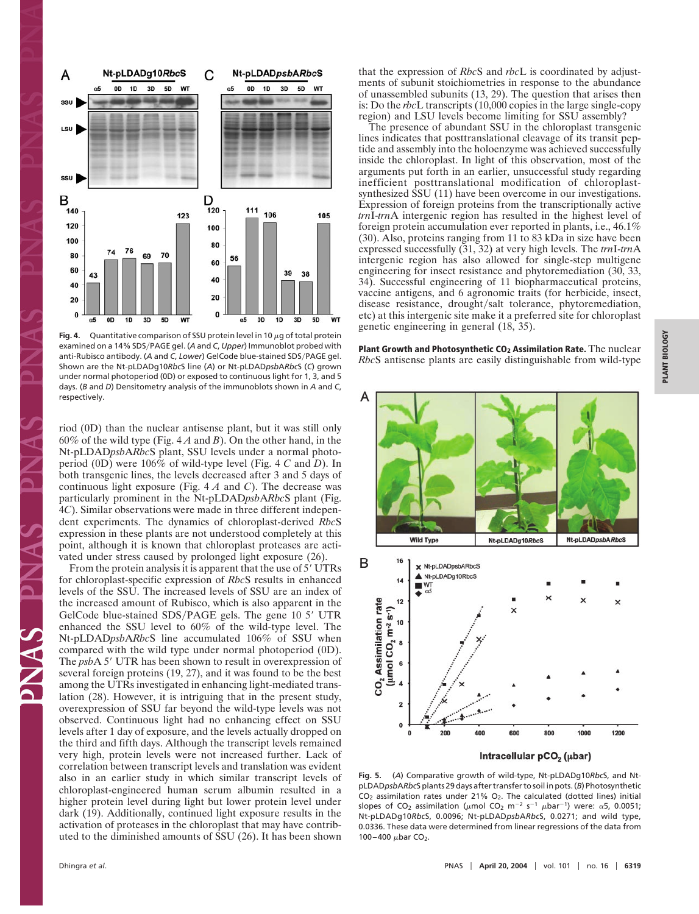

**Fig. 4.** Quantitative comparison of SSU protein level in 10  $\mu$ g of total protein examined on a 14% SDS/PAGE gel. (A and C, Upper) Immunoblot probed with anti-Rubisco antibody. (A and C, Lower) GelCode blue-stained SDS/PAGE gel. Shown are the Nt-pLDADg10*Rbc*S line (*A*) or Nt-pLDAD*psb*A*Rbc*S (*C*) grown under normal photoperiod (0D) or exposed to continuous light for 1, 3, and 5 days. (*B* and *D*) Densitometry analysis of the immunoblots shown in *A* and *C*, respectively.

riod (0D) than the nuclear antisense plant, but it was still only 60% of the wild type (Fig. 4 *A* and *B*). On the other hand, in the Nt-pLDAD*psb*A*Rbc*S plant, SSU levels under a normal photoperiod (0D) were 106% of wild-type level (Fig. 4 *C* and *D*). In both transgenic lines, the levels decreased after 3 and 5 days of continuous light exposure (Fig. 4 *A* and *C*). The decrease was particularly prominent in the Nt-pLDAD*psb*A*Rbc*S plant (Fig. 4*C*). Similar observations were made in three different independent experiments. The dynamics of chloroplast-derived *Rbc*S expression in these plants are not understood completely at this point, although it is known that chloroplast proteases are activated under stress caused by prolonged light exposure (26).

From the protein analysis it is apparent that the use of 5' UTRs for chloroplast-specific expression of *Rbc*S results in enhanced levels of the SSU. The increased levels of SSU are an index of the increased amount of Rubisco, which is also apparent in the GelCode blue-stained SDS/PAGE gels. The gene 10 5' UTR enhanced the SSU level to 60% of the wild-type level. The Nt-pLDAD*psb*A*Rbc*S line accumulated 106% of SSU when compared with the wild type under normal photoperiod (0D). The *psbA* 5' UTR has been shown to result in overexpression of several foreign proteins (19, 27), and it was found to be the best among the UTRs investigated in enhancing light-mediated translation (28). However, it is intriguing that in the present study, overexpression of SSU far beyond the wild-type levels was not observed. Continuous light had no enhancing effect on SSU levels after 1 day of exposure, and the levels actually dropped on the third and fifth days. Although the transcript levels remained very high, protein levels were not increased further. Lack of correlation between transcript levels and translation was evident also in an earlier study in which similar transcript levels of chloroplast-engineered human serum albumin resulted in a higher protein level during light but lower protein level under dark (19). Additionally, continued light exposure results in the activation of proteases in the chloroplast that may have contributed to the diminished amounts of SSU (26). It has been shown

Dhingra *et al*. PNAS -

that the expression of *Rbc*S and *rbc*L is coordinated by adjustments of subunit stoichiometries in response to the abundance of unassembled subunits (13, 29). The question that arises then is: Do the *rbc*L transcripts (10,000 copies in the large single-copy region) and LSU levels become limiting for SSU assembly?

The presence of abundant SSU in the chloroplast transgenic lines indicates that posttranslational cleavage of its transit peptide and assembly into the holoenzyme was achieved successfully inside the chloroplast. In light of this observation, most of the arguments put forth in an earlier, unsuccessful study regarding inefficient posttranslational modification of chloroplastsynthesized SSU (11) have been overcome in our investigations. Expression of foreign proteins from the transcriptionally active *trn*I-*trn*A intergenic region has resulted in the highest level of foreign protein accumulation ever reported in plants, i.e., 46.1% (30). Also, proteins ranging from 11 to 83 kDa in size have been expressed successfully (31, 32) at very high levels. The *trn*I-*trn*A intergenic region has also allowed for single-step multigene engineering for insect resistance and phytoremediation (30, 33, 34). Successful engineering of 11 biopharmaceutical proteins, vaccine antigens, and 6 agronomic traits (for herbicide, insect, disease resistance, drought/salt tolerance, phytoremediation, etc) at this intergenic site make it a preferred site for chloroplast genetic engineering in general (18, 35).

**Plant Growth and Photosynthetic CO2 Assimilation Rate.** The nuclear *Rbc*S antisense plants are easily distinguishable from wild-type



Intracellular pCO<sub>2</sub> (µbar)

**Fig. 5.** (*A*) Comparative growth of wild-type, Nt-pLDADg10*Rbc*S, and NtpLDAD*psb*A*Rbc*S plants 29 days after transfer to soil in pots. (*B*) Photosynthetic  $CO<sub>2</sub>$  assimilation rates under 21%  $O<sub>2</sub>$ . The calculated (dotted lines) initial slopes of CO<sub>2</sub> assimilation ( $\mu$ mol CO<sub>2</sub> m<sup>-2</sup> s<sup>-1</sup>  $\mu$ bar<sup>-1</sup>) were:  $\alpha$ 5, 0.0051; Nt-pLDADg10*Rbc*S, 0.0096; Nt-pLDAD*psb*A*Rbc*S, 0.0271; and wild type, 0.0336. These data were determined from linear regressions of the data from 100–400  $\mu$ bar CO<sub>2</sub>.